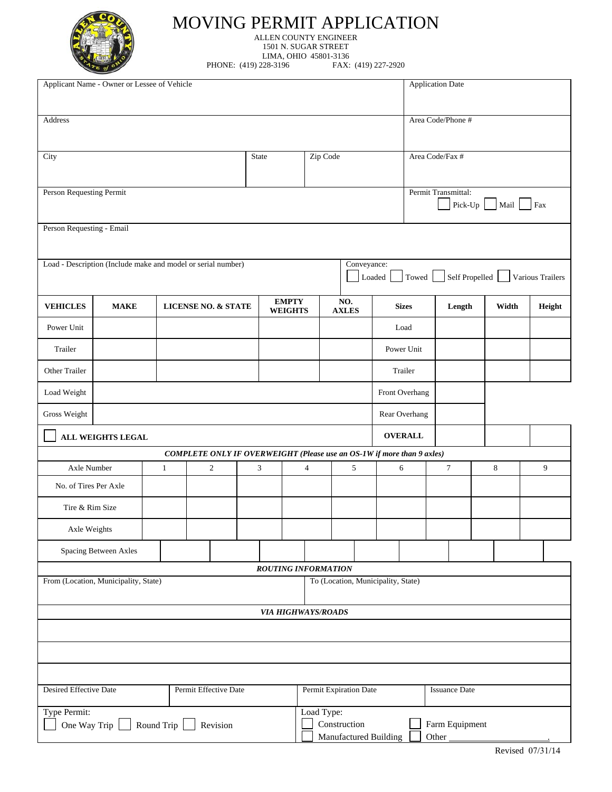

## MOVING PERMIT APPLICATION ALLEN COUNTY ENGINEER

1501 N. SUGAR STREET

LIMA, OHIO 45801-3136<br>228-3196 FAX: (419) 227-2920 PHONE: (419) 228-3196

| Applicant Name - Owner or Lessee of Vehicle            |                                                              |              |                                                                        |  |                                                                                |                |  |                     | <b>Application Date</b> |                |                      |                        |  |                  |
|--------------------------------------------------------|--------------------------------------------------------------|--------------|------------------------------------------------------------------------|--|--------------------------------------------------------------------------------|----------------|--|---------------------|-------------------------|----------------|----------------------|------------------------|--|------------------|
| Address                                                |                                                              |              |                                                                        |  |                                                                                |                |  |                     |                         |                | Area Code/Phone #    |                        |  |                  |
|                                                        |                                                              |              |                                                                        |  |                                                                                |                |  |                     |                         |                |                      |                        |  |                  |
|                                                        |                                                              |              |                                                                        |  |                                                                                |                |  |                     |                         |                |                      |                        |  |                  |
| City                                                   |                                                              |              |                                                                        |  | Zip Code<br>State                                                              |                |  |                     | Area Code/Fax #         |                |                      |                        |  |                  |
|                                                        |                                                              |              |                                                                        |  |                                                                                |                |  |                     |                         |                |                      |                        |  |                  |
| Person Requesting Permit                               |                                                              |              |                                                                        |  |                                                                                |                |  |                     |                         |                | Permit Transmittal:  | Pick-Up $\Box$<br>Mail |  | Fax              |
| Person Requesting - Email                              |                                                              |              |                                                                        |  |                                                                                |                |  |                     |                         |                |                      |                        |  |                  |
|                                                        | Load - Description (Include make and model or serial number) |              |                                                                        |  |                                                                                |                |  | Conveyance:         |                         |                |                      |                        |  |                  |
|                                                        |                                                              |              |                                                                        |  |                                                                                |                |  |                     | Loaded                  |                | Towed Self Propelled |                        |  | Various Trailers |
| <b>VEHICLES</b>                                        | <b>MAKE</b>                                                  |              | <b>LICENSE NO. &amp; STATE</b>                                         |  | <b>EMPTY</b><br><b>WEIGHTS</b>                                                 |                |  | NO.<br><b>AXLES</b> |                         | <b>Sizes</b>   | Length               | Width                  |  | Height           |
| Power Unit                                             |                                                              |              |                                                                        |  |                                                                                |                |  |                     |                         | Load           |                      |                        |  |                  |
| Trailer                                                |                                                              |              |                                                                        |  |                                                                                |                |  |                     | Power Unit              |                |                      |                        |  |                  |
| Other Trailer                                          |                                                              |              |                                                                        |  |                                                                                |                |  |                     |                         | Trailer        |                      |                        |  |                  |
| Load Weight                                            |                                                              |              |                                                                        |  |                                                                                |                |  |                     | Front Overhang          |                |                      |                        |  |                  |
| Gross Weight                                           |                                                              |              |                                                                        |  |                                                                                |                |  |                     |                         | Rear Overhang  |                      |                        |  |                  |
|                                                        | <b>ALL WEIGHTS LEGAL</b>                                     |              |                                                                        |  |                                                                                |                |  |                     |                         | <b>OVERALL</b> |                      |                        |  |                  |
|                                                        |                                                              |              | COMPLETE ONLY IF OVERWEIGHT (Please use an OS-1W if more than 9 axles) |  |                                                                                |                |  |                     |                         |                |                      |                        |  |                  |
| Axle Number                                            |                                                              | $\mathbf{1}$ | $\overline{c}$                                                         |  | 3                                                                              | $\overline{4}$ |  | 5                   | 6                       |                | $\tau$               | $\,8\,$                |  | 9                |
| No. of Tires Per Axle                                  |                                                              |              |                                                                        |  |                                                                                |                |  |                     |                         |                |                      |                        |  |                  |
| Tire & Rim Size                                        |                                                              |              |                                                                        |  |                                                                                |                |  |                     |                         |                |                      |                        |  |                  |
| Axle Weights                                           |                                                              |              |                                                                        |  |                                                                                |                |  |                     |                         |                |                      |                        |  |                  |
|                                                        | Spacing Between Axles                                        |              |                                                                        |  |                                                                                |                |  |                     |                         |                |                      |                        |  |                  |
|                                                        |                                                              |              |                                                                        |  | <b>ROUTING INFORMATION</b>                                                     |                |  |                     |                         |                |                      |                        |  |                  |
| From (Location, Municipality, State)                   |                                                              |              |                                                                        |  | To (Location, Municipality, State)                                             |                |  |                     |                         |                |                      |                        |  |                  |
|                                                        |                                                              |              |                                                                        |  | <b>VIA HIGHWAYS/ROADS</b>                                                      |                |  |                     |                         |                |                      |                        |  |                  |
|                                                        |                                                              |              |                                                                        |  |                                                                                |                |  |                     |                         |                |                      |                        |  |                  |
|                                                        |                                                              |              |                                                                        |  |                                                                                |                |  |                     |                         |                |                      |                        |  |                  |
|                                                        |                                                              |              |                                                                        |  |                                                                                |                |  |                     |                         |                |                      |                        |  |                  |
| Desired Effective Date<br>Permit Effective Date        |                                                              |              |                                                                        |  | Permit Expiration Date                                                         |                |  |                     | <b>Issuance Date</b>    |                |                      |                        |  |                  |
| Type Permit:<br>One Way Trip<br>Round Trip<br>Revision |                                                              |              |                                                                        |  | Load Type:<br>Construction<br>Farm Equipment<br>Manufactured Building<br>Other |                |  |                     |                         |                |                      |                        |  |                  |